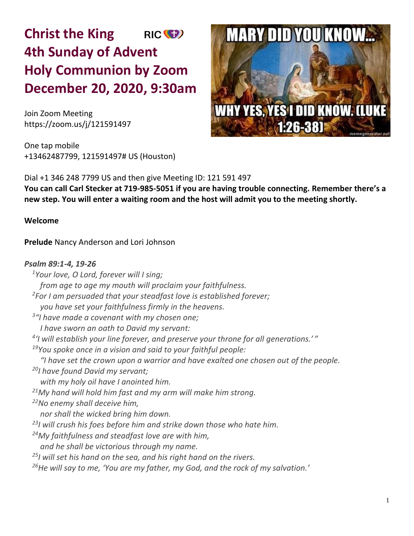# **Christ the King** RIC<sup>(C</sup>) **4th Sunday of Advent Holy Communion by Zoom December 20, 2020, 9:30am**

Join Zoom Meeting https://zoom.us/j/121591497

One tap mobile +13462487799, 121591497# US (Houston)



Dial +1 346 248 7799 US and then give Meeting ID: 121 591 497 **You can call Carl Stecker at 719-985-5051 if you are having trouble connecting. Remember there's a new step. You will enter a waiting room and the host will admit you to the meeting shortly.** 

# **Welcome**

**Prelude** Nancy Anderson and Lori Johnson

## *Psalm 89:1-4, 19-26*

*Your love, O Lord, forever will I sing; from age to age my mouth will proclaim your faithfulness. For I am persuaded that your steadfast love is established forever; you have set your faithfulness firmly in the heavens. "I have made a covenant with my chosen one; I have sworn an oath to David my servant: 'I will establish your line forever, and preserve your throne for all generations.' " You spoke once in a vision and said to your faithful people: "I have set the crown upon a warrior and have exalted one chosen out of the people. I have found David my servant; with my holy oil have I anointed him. My hand will hold him fast and my arm will make him strong. No enemy shall deceive him, nor shall the wicked bring him down. I will crush his foes before him and strike down those who hate him. My faithfulness and steadfast love are with him, and he shall be victorious through my name. I will set his hand on the sea, and his right hand on the rivers. He will say to me, 'You are my father, my God, and the rock of my salvation.'*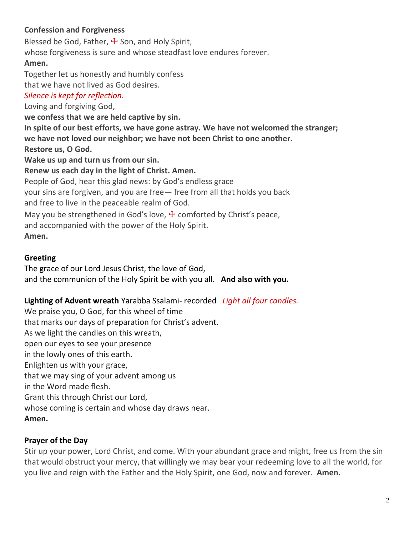# **Confession and Forgiveness**

Blessed be God, Father,  $\pm$  Son, and Holy Spirit, whose forgiveness is sure and whose steadfast love endures forever. **Amen.** Together let us honestly and humbly confess that we have not lived as God desires. *Silence is kept for reflection.* Loving and forgiving God, **we confess that we are held captive by sin. In spite of our best efforts, we have gone astray. We have not welcomed the stranger; we have not loved our neighbor; we have not been Christ to one another. Restore us, O God. Wake us up and turn us from our sin. Renew us each day in the light of Christ. Amen.** People of God, hear this glad news: by God's endless grace your sins are forgiven, and you are free— free from all that holds you back and free to live in the peaceable realm of God. May you be strengthened in God's love,  $\pm$  comforted by Christ's peace, and accompanied with the power of the Holy Spirit. **Amen.**

# **Greeting**

The grace of our Lord Jesus Christ, the love of God, and the communion of the Holy Spirit be with you all. **And also with you.**

# **Lighting of Advent wreath** Yarabba Ssalami- recorded *Light all four candles.*

We praise you, O God, for this wheel of time that marks our days of preparation for Christ's advent. As we light the candles on this wreath, open our eyes to see your presence in the lowly ones of this earth. Enlighten us with your grace, that we may sing of your advent among us in the Word made flesh. Grant this through Christ our Lord, whose coming is certain and whose day draws near. **Amen.**

# **Prayer of the Day**

Stir up your power, Lord Christ, and come. With your abundant grace and might, free us from the sin that would obstruct your mercy, that willingly we may bear your redeeming love to all the world, for you live and reign with the Father and the Holy Spirit, one God, now and forever. **Amen.**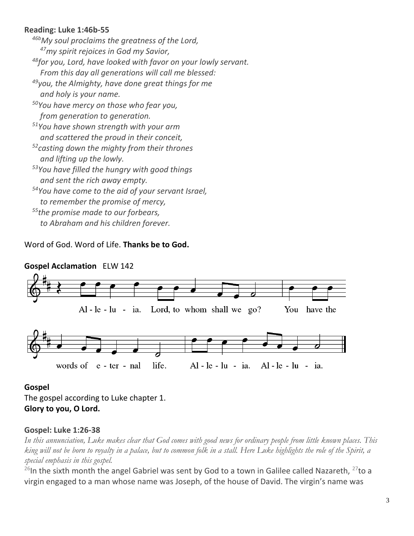# **Reading: Luke 1:46b-55**

*46bMy soul proclaims the greatness of the Lord, <sup>47</sup>my spirit rejoices in God my Savior, <sup>48</sup>for you, Lord, have looked with favor on your lowly servant. From this day all generations will call me blessed: <sup>49</sup>you, the Almighty, have done great things for me and holy is your name. <sup>50</sup>You have mercy on those who fear you, from generation to generation. <sup>51</sup>You have shown strength with your arm and scattered the proud in their conceit, <sup>52</sup>casting down the mighty from their thrones and lifting up the lowly. <sup>53</sup>You have filled the hungry with good things and sent the rich away empty. <sup>54</sup>You have come to the aid of your servant Israel, to remember the promise of mercy, <sup>55</sup>the promise made to our forbears, to Abraham and his children forever.*

Word of God. Word of Life. **Thanks be to God.**



# **Gospel Acclamation** ELW 142

#### **Gospel**

The gospel according to Luke chapter 1. **Glory to you, O Lord.**

# **Gospel: Luke 1:26-38**

*In this annunciation, Luke makes clear that God comes with good news for ordinary people from little known places. This king will not be born to royalty in a palace, but to common folk in a stall. Here Luke highlights the role of the Spirit, a special emphasis in this gospel.*

<sup>26</sup>In the sixth month the angel Gabriel was sent by God to a town in Galilee called Nazareth, <sup>27</sup>to a virgin engaged to a man whose name was Joseph, of the house of David. The virgin's name was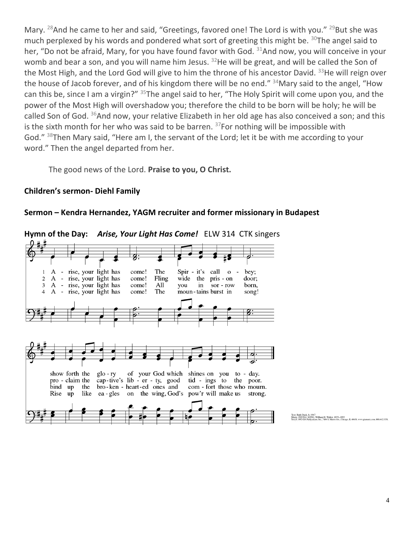Mary. <sup>28</sup>And he came to her and said, "Greetings, favored one! The Lord is with you." <sup>29</sup>But she was much perplexed by his words and pondered what sort of greeting this might be.  $30$ The angel said to her, "Do not be afraid, Mary, for you have found favor with God.  $31$ And now, you will conceive in your womb and bear a son, and you will name him Jesus. <sup>32</sup>He will be great, and will be called the Son of the Most High, and the Lord God will give to him the throne of his ancestor David.  $33$ He will reign over the house of Jacob forever, and of his kingdom there will be no end." <sup>34</sup>Mary said to the angel, "How can this be, since I am a virgin?" <sup>35</sup>The angel said to her, "The Holy Spirit will come upon you, and the power of the Most High will overshadow you; therefore the child to be born will be holy; he will be called Son of God. <sup>36</sup>And now, your relative Elizabeth in her old age has also conceived a son; and this is the sixth month for her who was said to be barren.  $37$  For nothing will be impossible with God." <sup>38</sup>Then Mary said, "Here am I, the servant of the Lord; let it be with me according to your word." Then the angel departed from her.

The good news of the Lord. **Praise to you, O Christ.**

#### **Children's sermon- Diehl Family**

#### **Sermon – Kendra Hernandez, YAGM recruiter and former missionary in Budapest**

**Hymn of the Day:** *Arise, Your Light Has Come!* ELW 314 CTK singers

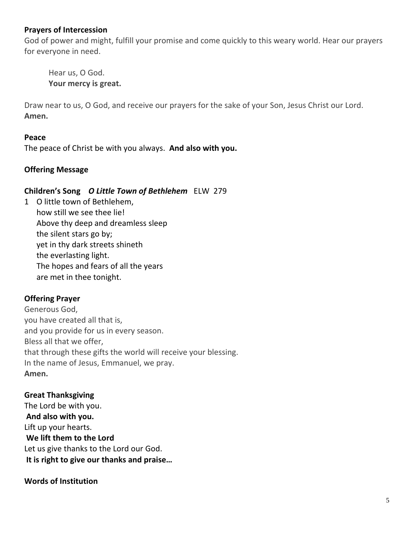## **Prayers of Intercession**

God of power and might, fulfill your promise and come quickly to this weary world. Hear our prayers for everyone in need.

Hear us, O God. **Your mercy is great.**

Draw near to us, O God, and receive our prayers for the sake of your Son, Jesus Christ our Lord. **Amen.**

#### **Peace**

The peace of Christ be with you always. **And also with you.**

## **Offering Message**

#### **Children's Song** *O Little Town of Bethlehem*ELW 279

1 O little town of Bethlehem, how still we see thee lie! Above thy deep and dreamless sleep the silent stars go by; yet in thy dark streets shineth the everlasting light. The hopes and fears of all the years are met in thee tonight.

# **Offering Prayer**

Generous God, you have created all that is, and you provide for us in every season. Bless all that we offer, that through these gifts the world will receive your blessing. In the name of Jesus, Emmanuel, we pray. **Amen.**

# **Great Thanksgiving**

The Lord be with you. **And also with you.** Lift up your hearts. **We lift them to the Lord** Let us give thanks to the Lord our God. **It is right to give our thanks and praise…** 

#### **Words of Institution**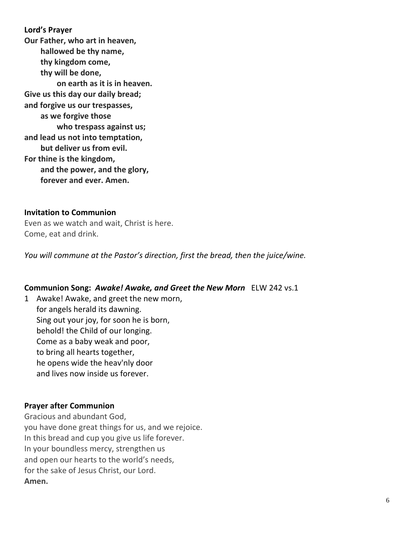**Lord's Prayer Our Father, who art in heaven, hallowed be thy name, thy kingdom come, thy will be done, on earth as it is in heaven. Give us this day our daily bread; and forgive us our trespasses, as we forgive those who trespass against us; and lead us not into temptation, but deliver us from evil. For thine is the kingdom, and the power, and the glory, forever and ever. Amen.**

#### **Invitation to Communion**

Even as we watch and wait, Christ is here. Come, eat and drink.

*You will commune at the Pastor's direction, first the bread, then the juice/wine.*

#### **Communion Song:** *Awake! Awake, and Greet the New Morn* ELW 242 vs.1

1 Awake! Awake, and greet the new morn, for angels herald its dawning. Sing out your joy, for soon he is born, behold! the Child of our longing. Come as a baby weak and poor, to bring all hearts together, he opens wide the heav'nly door and lives now inside us forever.

#### **Prayer after Communion**

Gracious and abundant God, you have done great things for us, and we rejoice. In this bread and cup you give us life forever. In your boundless mercy, strengthen us and open our hearts to the world's needs, for the sake of Jesus Christ, our Lord. **Amen.**